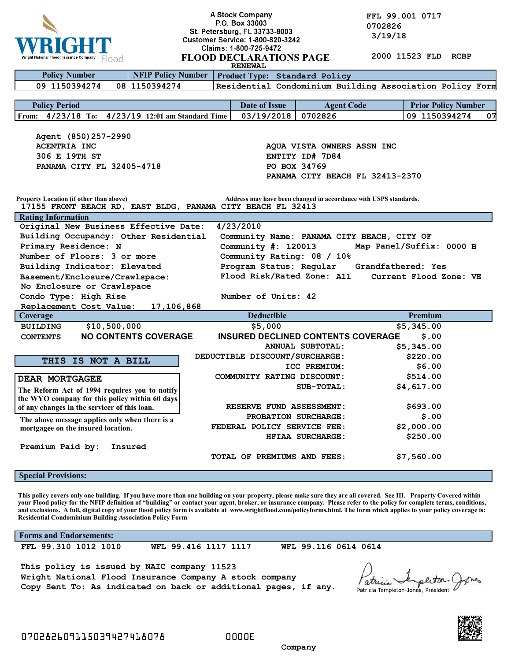

**A Stock Company**<br> **P.O. Box 33003**<br> **P.O. Box 33003**<br> **COLLY**<br> **COLLY**<br> **COLLY**<br> **COLLY**<br> **COLLY**<br> **COLLY**<br> **COLLY 0702826 1 19/18** Customer Service: 1.800.820.3242 3/19/18

|                                                                                                                                                                                                                                                                                                                                                    |                             | Claims: 1-800-725-9472                                                                           |                                                                  |  |                                                          |
|----------------------------------------------------------------------------------------------------------------------------------------------------------------------------------------------------------------------------------------------------------------------------------------------------------------------------------------------------|-----------------------------|--------------------------------------------------------------------------------------------------|------------------------------------------------------------------|--|----------------------------------------------------------|
| al Flood Insurance Company<br>Flood                                                                                                                                                                                                                                                                                                                |                             | 2000 11523 FLD<br><b>RCBP</b><br><b>FLOOD DECLARATIONS PAGE</b>                                  |                                                                  |  |                                                          |
| <b>RENEWAL</b>                                                                                                                                                                                                                                                                                                                                     |                             |                                                                                                  |                                                                  |  |                                                          |
| <b>Policy Number</b>                                                                                                                                                                                                                                                                                                                               | <b>NFIP Policy Number</b>   | Product Type: Standard Policy                                                                    |                                                                  |  |                                                          |
| 09 1150394274                                                                                                                                                                                                                                                                                                                                      | 08 1150394274               |                                                                                                  |                                                                  |  | Residential Condominium Building Association Policy Form |
|                                                                                                                                                                                                                                                                                                                                                    |                             |                                                                                                  |                                                                  |  |                                                          |
| <b>Policy Period</b>                                                                                                                                                                                                                                                                                                                               |                             | Date of Issue                                                                                    | <b>Agent Code</b>                                                |  | <b>Prior Policy Number</b>                               |
| From: 4/23/18 To: 4/23/19 12:01 am Standard Time                                                                                                                                                                                                                                                                                                   |                             | 03/19/2018                                                                                       | 0702826                                                          |  | 09 1150394274<br>07                                      |
|                                                                                                                                                                                                                                                                                                                                                    |                             |                                                                                                  |                                                                  |  |                                                          |
| Agent (850) 257-2990                                                                                                                                                                                                                                                                                                                               |                             |                                                                                                  |                                                                  |  |                                                          |
| ACENTRIA INC<br>306 E 19TH ST                                                                                                                                                                                                                                                                                                                      |                             |                                                                                                  | AQUA VISTA OWNERS ASSN INC                                       |  |                                                          |
|                                                                                                                                                                                                                                                                                                                                                    |                             | ENTITY ID# 7D84<br>PO BOX 34769                                                                  |                                                                  |  |                                                          |
| PANAMA CITY FL 32405-4718                                                                                                                                                                                                                                                                                                                          |                             |                                                                                                  |                                                                  |  |                                                          |
|                                                                                                                                                                                                                                                                                                                                                    |                             |                                                                                                  | PANAMA CITY BEACH FL 32413-2370                                  |  |                                                          |
|                                                                                                                                                                                                                                                                                                                                                    |                             |                                                                                                  |                                                                  |  |                                                          |
| <b>Property Location (if other than above)</b><br>17155 FRONT BEACH RD, EAST BLDG, PANAMA CITY BEACH FL 32413                                                                                                                                                                                                                                      |                             |                                                                                                  | Address may have been changed in accordance with USPS standards. |  |                                                          |
| <b>Rating Information</b>                                                                                                                                                                                                                                                                                                                          |                             |                                                                                                  |                                                                  |  |                                                          |
| Original New Business Effective Date:                                                                                                                                                                                                                                                                                                              |                             | 4/23/2010                                                                                        |                                                                  |  |                                                          |
| Building Occupancy: Other Residential                                                                                                                                                                                                                                                                                                              |                             |                                                                                                  |                                                                  |  |                                                          |
| Primary Residence: N                                                                                                                                                                                                                                                                                                                               |                             | Community Name: PANAMA CITY BEACH, CITY OF<br>Map Panel/Suffix: 0000 B<br>Community $\#: 120013$ |                                                                  |  |                                                          |
| Number of Floors: 3 or more                                                                                                                                                                                                                                                                                                                        |                             | Community Rating: 08 / 10%                                                                       |                                                                  |  |                                                          |
| Building Indicator: Elevated                                                                                                                                                                                                                                                                                                                       |                             | Program Status: Regular<br>Grandfathered: Yes                                                    |                                                                  |  |                                                          |
| Basement/Enclosure/Crawlspace:                                                                                                                                                                                                                                                                                                                     |                             | Flood Risk/Rated Zone: A11<br>Current Flood Zone: VE                                             |                                                                  |  |                                                          |
| No Enclosure or Crawlspace                                                                                                                                                                                                                                                                                                                         |                             |                                                                                                  |                                                                  |  |                                                          |
| Condo Type: High Rise                                                                                                                                                                                                                                                                                                                              |                             | Number of Units: 42                                                                              |                                                                  |  |                                                          |
| Replacement Cost Value:                                                                                                                                                                                                                                                                                                                            | 17,106,868                  |                                                                                                  |                                                                  |  |                                                          |
|                                                                                                                                                                                                                                                                                                                                                    |                             |                                                                                                  |                                                                  |  | Premium                                                  |
| Coverage                                                                                                                                                                                                                                                                                                                                           |                             | <b>Deductible</b>                                                                                |                                                                  |  |                                                          |
| \$10,500,000<br><b>BUILDING</b>                                                                                                                                                                                                                                                                                                                    |                             | \$5,000                                                                                          |                                                                  |  | \$5,345.00                                               |
| <b>CONTENTS</b>                                                                                                                                                                                                                                                                                                                                    | <b>NO CONTENTS COVERAGE</b> | <b>INSURED DECLINED CONTENTS COVERAGE</b>                                                        |                                                                  |  | \$.00                                                    |
|                                                                                                                                                                                                                                                                                                                                                    |                             |                                                                                                  | ANNUAL SUBTOTAL:                                                 |  | \$5,345.00                                               |
|                                                                                                                                                                                                                                                                                                                                                    |                             | DEDUCTIBLE DISCOUNT/SURCHARGE:                                                                   |                                                                  |  | \$220.00                                                 |
| THIS IS NOT A BILL                                                                                                                                                                                                                                                                                                                                 |                             |                                                                                                  | ICC PREMIUM:                                                     |  | \$6.00                                                   |
| DEAR MORTGAGEE                                                                                                                                                                                                                                                                                                                                     |                             | COMMUNITY RATING DISCOUNT:                                                                       |                                                                  |  | \$514.00                                                 |
|                                                                                                                                                                                                                                                                                                                                                    |                             |                                                                                                  | SUB-TOTAL:                                                       |  | \$4,617.00                                               |
| The Reform Act of 1994 requires you to notify<br>the WYO company for this policy within 60 days                                                                                                                                                                                                                                                    |                             |                                                                                                  |                                                                  |  |                                                          |
| of any changes in the servicer of this loan.                                                                                                                                                                                                                                                                                                       |                             |                                                                                                  | RESERVE FUND ASSESSMENT:                                         |  | \$693.00                                                 |
|                                                                                                                                                                                                                                                                                                                                                    |                             |                                                                                                  | <b>PROBATION SURCHARGE:</b>                                      |  | \$.00                                                    |
| The above message applies only when there is a<br>mortgagee on the insured location.                                                                                                                                                                                                                                                               |                             | FEDERAL POLICY SERVICE FEE:                                                                      |                                                                  |  | \$2,000.00                                               |
|                                                                                                                                                                                                                                                                                                                                                    |                             |                                                                                                  | HFIAA SURCHARGE:                                                 |  | \$250.00                                                 |
| Premium Paid by:                                                                                                                                                                                                                                                                                                                                   | Insured                     |                                                                                                  |                                                                  |  |                                                          |
|                                                                                                                                                                                                                                                                                                                                                    |                             | <b>TOTAL OF PREMIUMS AND FEES:</b>                                                               |                                                                  |  | \$7,560.00                                               |
|                                                                                                                                                                                                                                                                                                                                                    |                             |                                                                                                  |                                                                  |  |                                                          |
| <b>Special Provisions:</b>                                                                                                                                                                                                                                                                                                                         |                             |                                                                                                  |                                                                  |  |                                                          |
|                                                                                                                                                                                                                                                                                                                                                    |                             |                                                                                                  |                                                                  |  |                                                          |
| This policy covers only one building. If you have more than one building on your property, please make sure they are all covered. See III. Property Covered within                                                                                                                                                                                 |                             |                                                                                                  |                                                                  |  |                                                          |
| your Flood policy for the NFIP definition of "building" or contact your agent, broker, or insurance company. Please refer to the policy for complete terms, conditions,<br>and exclusions. A full, digital copy of your flood policy form is available at www.wrightflood.com/policyforms.html. The form which applies to your policy coverage is: |                             |                                                                                                  |                                                                  |  |                                                          |
| <b>Residential Condominium Building Association Policy Form</b>                                                                                                                                                                                                                                                                                    |                             |                                                                                                  |                                                                  |  |                                                          |
|                                                                                                                                                                                                                                                                                                                                                    |                             |                                                                                                  |                                                                  |  |                                                          |
| <b>Forms and Endorsements:</b><br>FFL 99.310 1012 1010                                                                                                                                                                                                                                                                                             | WFL 99.416 1117 1117        |                                                                                                  | WFL 99.116 0614 0614                                             |  |                                                          |

**This policy is issued by NAIC company 11523 Wright National Flood Insurance Company A stock company Copy Sent To: As indicated on back or additional pages, if any.**

erton atric Patricia Templeton-Jones, President



 **Company**